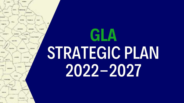

## GLA STRATEGIC PLAN 2022-2027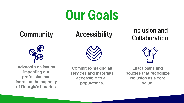### Our Goals

#### Community

#### **Accessibility**



**Advocate on issues impacting our profession and increase the capacity of Georgia's libraries.**



**Commit to making all services and materials accessible to all populations.**



#### **Inclusion and Collaboration**



**Enact plans and policies that recognize inclusion as a core value.**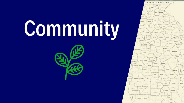# Community

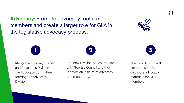Merge the Trustee, Friends and Advocates Division and the Advocacy Committee forming the Advocacy Division.

The new Division will coordinate with Georgia Council and their lobbyist on legislative advocacy and monitoring.

The new Division will create, research, and distribute advocacy materials for GLA members.

*1.1*





**Advocacy:** Promote advocacy tools for members and create a larger role for GLA in the legislative advocacy process.



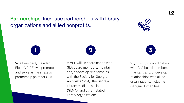Vice President/President Elect (VP/PE) will promote and serve as the strategic partnership point for GLA.

VP/PE will, in coordination with GLA board members, maintain, and/or develop relationships with the Society for Georgia Archivists (SGA), the Georgia Library Media Association (GLMA), and other related library organizations.

VP/PE will, in coordination with GLA board members, maintain, and/or develop relationships with allied organizations, including Georgia Humanities.







**Partnerships:** Increase partnerships with library organizations and allied nonprofits.



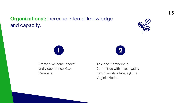Create a welcome packet and video for new GLA Members.

Task the Membership Committee with investigating new dues structure, e.g. the Virginia Model.

*1.3*



#### **Organizational:** Increase internal knowledge and capacity.



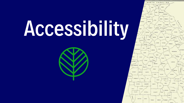# Accessibility



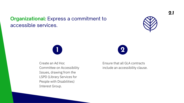Create an Ad Hoc Committee on Accessibility Issues, drawing from the LSPD (Library Services for People with Disabilities) Interest Group.

#### Ensure that all GLA contracts include an accessibility clause.





#### **Organizational:** Express a commitment to accessible services.



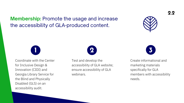Coordinate with the Center for Inclusive Design & Innovation (CIDI) and Georgia Library Service for the Blind and Physically Disabled (GLS) on an accessibility audit.

Test and develop the accessibility of GLA website; ensure accessibility of GLA webinars.

Create informational and marketing materials specifically for GLA members with accessibility needs.







#### **Membership:** Promote the usage and increase the accessibility of GLA-produced content.



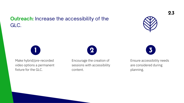Make hybrid/pre-recorded video options a permanent fixture for the GLC.

Encourage the creation of sessions with accessibility content.

#### Ensure accessibility needs are considered during planning.







#### **Outreach:** Increase the accessibility of the GLC.



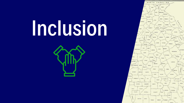## Inclusion



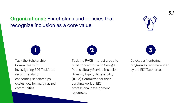Task the Scholarship Committee with investigating EDI Taskforce recommendation concerning scholarships exclusively for marginalized communities.

Task the PACE interest group to build connection with Georgia Public Library Service Inclusion Diversity Equity Accessibility (IDEA) Committee for their curating work of EDI professional development resources. Develop a Mentoring program as recommended by the EDI Taskforce.





#### **Organizational:** Enact plans and policies that recognize inclusion as a core value.